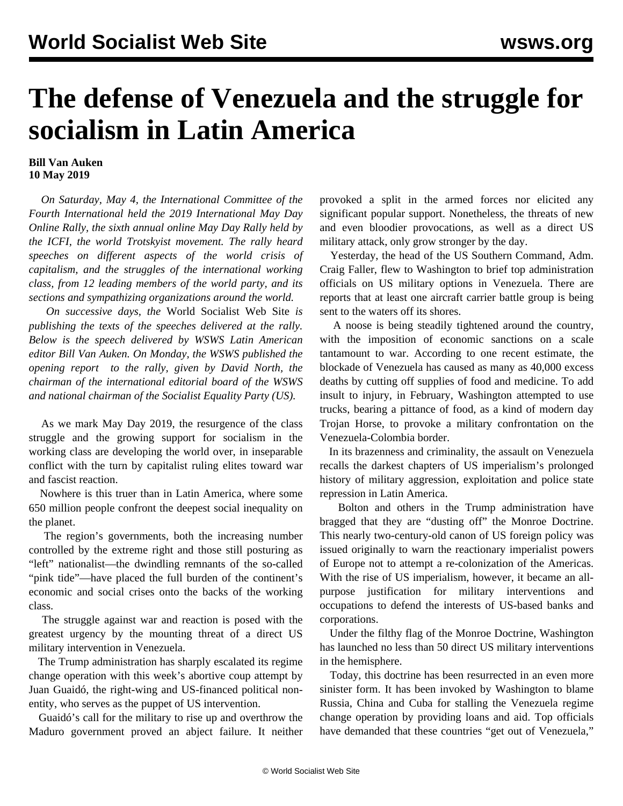## **The defense of Venezuela and the struggle for socialism in Latin America**

## **Bill Van Auken 10 May 2019**

 *On Saturday, May 4, the International Committee of the Fourth International held the 2019 International May Day Online Rally, the sixth annual online May Day Rally held by the ICFI, the world Trotskyist movement. The rally heard speeches on different aspects of the world crisis of capitalism, and the struggles of the international working class, from 12 leading members of the world party, and its sections and sympathizing organizations around the world.*

 *On successive days, the* World Socialist Web Site *is publishing the texts of the speeches delivered at the rally. Below is the speech delivered by WSWS Latin American editor Bill Van Auken. On Monday, the WSWS published the [opening report](/en/articles/2019/05/06/nort-m06.html) to the rally, given by David North, the chairman of the international editorial board of the WSWS and national chairman of the Socialist Equality Party (US).*

 As we mark May Day 2019, the resurgence of the class struggle and the growing support for socialism in the working class are developing the world over, in inseparable conflict with the turn by capitalist ruling elites toward war and fascist reaction.

 Nowhere is this truer than in Latin America, where some 650 million people confront the deepest social inequality on the planet.

 The region's governments, both the increasing number controlled by the extreme right and those still posturing as "left" nationalist—the dwindling remnants of the so-called "pink tide"—have placed the full burden of the continent's economic and social crises onto the backs of the working class.

 The struggle against war and reaction is posed with the greatest urgency by the mounting threat of a direct US military intervention in Venezuela.

 The Trump administration has sharply escalated its regime change operation with this week's abortive coup attempt by Juan Guaidó, the right-wing and US-financed political nonentity, who serves as the puppet of US intervention.

 Guaidó's call for the military to rise up and overthrow the Maduro government proved an abject failure. It neither provoked a split in the armed forces nor elicited any significant popular support. Nonetheless, the threats of new and even bloodier provocations, as well as a direct US military attack, only grow stronger by the day.

 Yesterday, the head of the US Southern Command, Adm. Craig Faller, flew to Washington to brief top administration officials on US military options in Venezuela. There are reports that at least one aircraft carrier battle group is being sent to the waters off its shores.

 A noose is being steadily tightened around the country, with the imposition of economic sanctions on a scale tantamount to war. According to one recent estimate, the blockade of Venezuela has caused as many as 40,000 excess deaths by cutting off supplies of food and medicine. To add insult to injury, in February, Washington attempted to use trucks, bearing a pittance of food, as a kind of modern day Trojan Horse, to provoke a military confrontation on the Venezuela-Colombia border.

 In its brazenness and criminality, the assault on Venezuela recalls the darkest chapters of US imperialism's prolonged history of military aggression, exploitation and police state repression in Latin America.

 Bolton and others in the Trump administration have bragged that they are "dusting off" the Monroe Doctrine. This nearly two-century-old canon of US foreign policy was issued originally to warn the reactionary imperialist powers of Europe not to attempt a re-colonization of the Americas. With the rise of US imperialism, however, it became an allpurpose justification for military interventions and occupations to defend the interests of US-based banks and corporations.

 Under the filthy flag of the Monroe Doctrine, Washington has launched no less than 50 direct US military interventions in the hemisphere.

 Today, this doctrine has been resurrected in an even more sinister form. It has been invoked by Washington to blame Russia, China and Cuba for stalling the Venezuela regime change operation by providing loans and aid. Top officials have demanded that these countries "get out of Venezuela,"